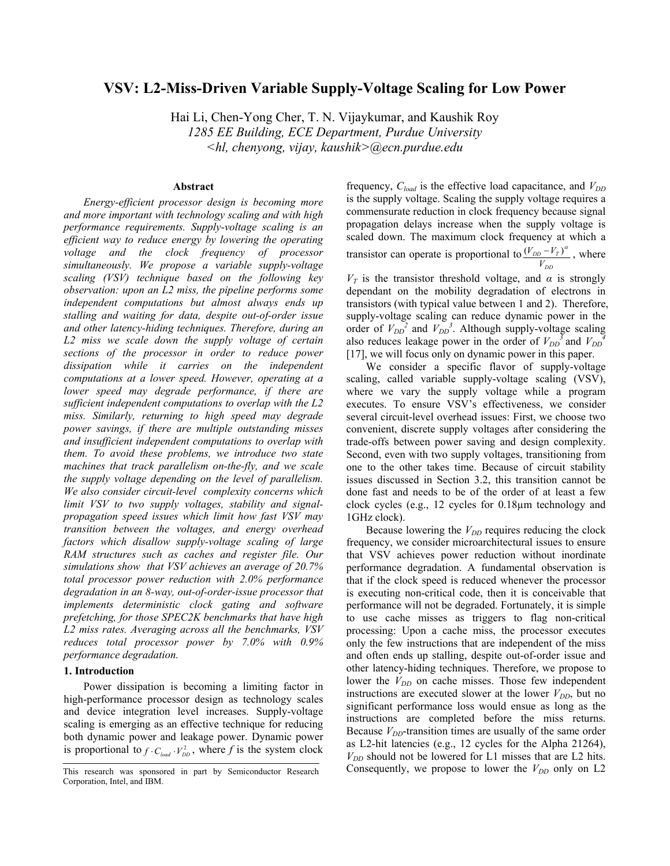# **VSV: L2-Miss-Driven Variable Supply-Voltage Scaling for Low Power**

Hai Li, Chen-Yong Cher, T. N. Vijaykumar, and Kaushik Roy *1285 EE Building, ECE Department, Purdue University <hl, chenyong, vijay, kaushik>@ecn.purdue.edu* 

### **Abstract**

*Energy-efficient processor design is becoming more and more important with technology scaling and with high performance requirements. Supply-voltage scaling is an efficient way to reduce energy by lowering the operating voltage and the clock frequency of processor simultaneously. We propose a variable supply-voltage scaling (VSV) technique based on the following key observation: upon an L2 miss, the pipeline performs some independent computations but almost always ends up stalling and waiting for data, despite out-of-order issue and other latency-hiding techniques. Therefore, during an L2 miss we scale down the supply voltage of certain sections of the processor in order to reduce power dissipation while it carries on the independent computations at a lower speed. However, operating at a lower speed may degrade performance, if there are sufficient independent computations to overlap with the L2 miss. Similarly, returning to high speed may degrade power savings, if there are multiple outstanding misses and insufficient independent computations to overlap with them. To avoid these problems, we introduce two state machines that track parallelism on-the-fly, and we scale the supply voltage depending on the level of parallelism. We also consider circuit-level complexity concerns which limit VSV to two supply voltages, stability and signalpropagation speed issues which limit how fast VSV may transition between the voltages, and energy overhead factors which disallow supply-voltage scaling of large RAM structures such as caches and register file. Our simulations show that VSV achieves an average of 20.7% total processor power reduction with 2.0% performance degradation in an 8-way, out-of-order-issue processor that implements deterministic clock gating and software prefetching, for those SPEC2K benchmarks that have high L2 miss rates. Averaging across all the benchmarks, VSV reduces total processor power by 7.0% with 0.9% performance degradation.* 

#### **1. Introduction**

Power dissipation is becoming a limiting factor in high-performance processor design as technology scales and device integration level increases. Supply-voltage scaling is emerging as an effective technique for reducing both dynamic power and leakage power. Dynamic power is proportional to  $f \cdot C_{load} \cdot V_{DD}^2$ , where f is the system clock

frequency,  $C_{load}$  is the effective load capacitance, and  $V_{DD}$ is the supply voltage. Scaling the supply voltage requires a commensurate reduction in clock frequency because signal propagation delays increase when the supply voltage is scaled down. The maximum clock frequency at which a transistor can operate is proportional to *DD*  $\frac{DD - r_I}{V_{DD}}$  $\frac{(V_{DD} - V_T)^{\alpha}}{(\alpha)}$ , where

 $V_T$  is the transistor threshold voltage, and  $\alpha$  is strongly dependant on the mobility degradation of electrons in transistors (with typical value between 1 and 2). Therefore, supply-voltage scaling can reduce dynamic power in the order of  $V_{DD}^2$  and  $V_{DD}^3$ . Although supply-voltage scaling also reduces leakage power in the order of  $V_{DD}^3$  and  $V_{DD}^4$ [17], we will focus only on dynamic power in this paper.

We consider a specific flavor of supply-voltage scaling, called variable supply-voltage scaling (VSV), where we vary the supply voltage while a program executes. To ensure VSV's effectiveness, we consider several circuit-level overhead issues: First, we choose two convenient, discrete supply voltages after considering the trade-offs between power saving and design complexity. Second, even with two supply voltages, transitioning from one to the other takes time. Because of circuit stability issues discussed in Section 3.2, this transition cannot be done fast and needs to be of the order of at least a few clock cycles (e.g., 12 cycles for 0.18µm technology and 1GHz clock).

Because lowering the  $V_{DD}$  requires reducing the clock frequency, we consider microarchitectural issues to ensure that VSV achieves power reduction without inordinate performance degradation. A fundamental observation is that if the clock speed is reduced whenever the processor is executing non-critical code, then it is conceivable that performance will not be degraded. Fortunately, it is simple to use cache misses as triggers to flag non-critical processing: Upon a cache miss, the processor executes only the few instructions that are independent of the miss and often ends up stalling, despite out-of-order issue and other latency-hiding techniques. Therefore, we propose to lower the  $V_{DD}$  on cache misses. Those few independent instructions are executed slower at the lower  $V_{DD}$ , but no significant performance loss would ensue as long as the instructions are completed before the miss returns. Because  $V_{DD}$ -transition times are usually of the same order as L2-hit latencies (e.g., 12 cycles for the Alpha 21264),  $V_{DD}$  should not be lowered for L1 misses that are L2 hits. Consequently, we propose to lower the  $V_{DD}$  only on L2

This research was sponsored in part by Semiconductor Research Corporation, Intel, and IBM.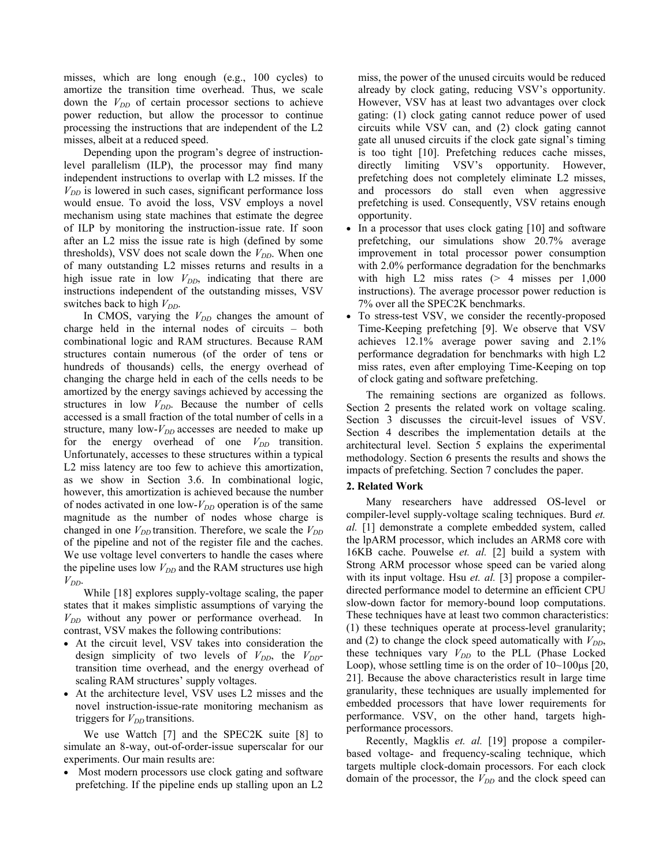misses, which are long enough (e.g., 100 cycles) to amortize the transition time overhead. Thus, we scale down the  $V_{DD}$  of certain processor sections to achieve power reduction, but allow the processor to continue processing the instructions that are independent of the L2 misses, albeit at a reduced speed.

Depending upon the program's degree of instructionlevel parallelism (ILP), the processor may find many independent instructions to overlap with L2 misses. If the  $V_{DD}$  is lowered in such cases, significant performance loss would ensue. To avoid the loss, VSV employs a novel mechanism using state machines that estimate the degree of ILP by monitoring the instruction-issue rate. If soon after an L2 miss the issue rate is high (defined by some thresholds), VSV does not scale down the  $V_{DD}$ . When one of many outstanding L2 misses returns and results in a high issue rate in low  $V_{DD}$ , indicating that there are instructions independent of the outstanding misses, VSV switches back to high  $V_{DD}$ .

In CMOS, varying the  $V_{DD}$  changes the amount of charge held in the internal nodes of circuits – both combinational logic and RAM structures. Because RAM structures contain numerous (of the order of tens or hundreds of thousands) cells, the energy overhead of changing the charge held in each of the cells needs to be amortized by the energy savings achieved by accessing the structures in low  $V_{DD}$ . Because the number of cells accessed is a small fraction of the total number of cells in a structure, many low- $V_{DD}$  accesses are needed to make up for the energy overhead of one  $V_{DD}$  transition. Unfortunately, accesses to these structures within a typical L2 miss latency are too few to achieve this amortization, as we show in Section 3.6. In combinational logic, however, this amortization is achieved because the number of nodes activated in one low- $V_{DD}$  operation is of the same magnitude as the number of nodes whose charge is changed in one  $V_{DD}$  transition. Therefore, we scale the  $V_{DD}$ of the pipeline and not of the register file and the caches. We use voltage level converters to handle the cases where the pipeline uses low  $V_{DD}$  and the RAM structures use high  $V_{DD}$ .

While [18] explores supply-voltage scaling, the paper states that it makes simplistic assumptions of varying the  $V_{DD}$  without any power or performance overhead. In contrast, VSV makes the following contributions:

- At the circuit level, VSV takes into consideration the design simplicity of two levels of  $V_{DD}$ , the  $V_{DD}$ transition time overhead, and the energy overhead of scaling RAM structures' supply voltages.
- At the architecture level, VSV uses L2 misses and the novel instruction-issue-rate monitoring mechanism as triggers for  $V_{DD}$  transitions.

We use Wattch [7] and the SPEC2K suite [8] to simulate an 8-way, out-of-order-issue superscalar for our experiments. Our main results are:

• Most modern processors use clock gating and software prefetching. If the pipeline ends up stalling upon an L2

miss, the power of the unused circuits would be reduced already by clock gating, reducing VSV's opportunity. However, VSV has at least two advantages over clock gating: (1) clock gating cannot reduce power of used circuits while VSV can, and (2) clock gating cannot gate all unused circuits if the clock gate signal's timing is too tight [10]. Prefetching reduces cache misses, directly limiting VSV's opportunity. However, prefetching does not completely eliminate L2 misses, and processors do stall even when aggressive prefetching is used. Consequently, VSV retains enough opportunity.

- In a processor that uses clock gating [10] and software prefetching, our simulations show 20.7% average improvement in total processor power consumption with 2.0% performance degradation for the benchmarks with high L2 miss rates  $(> 4$  misses per 1,000 instructions). The average processor power reduction is 7% over all the SPEC2K benchmarks.
- To stress-test VSV, we consider the recently-proposed Time-Keeping prefetching [9]. We observe that VSV achieves 12.1% average power saving and 2.1% performance degradation for benchmarks with high L2 miss rates, even after employing Time-Keeping on top of clock gating and software prefetching.

The remaining sections are organized as follows. Section 2 presents the related work on voltage scaling. Section 3 discusses the circuit-level issues of VSV. Section 4 describes the implementation details at the architectural level. Section 5 explains the experimental methodology. Section 6 presents the results and shows the impacts of prefetching. Section 7 concludes the paper.

### **2. Related Work**

Many researchers have addressed OS-level or compiler-level supply-voltage scaling techniques. Burd *et. al.* [1] demonstrate a complete embedded system, called the lpARM processor, which includes an ARM8 core with 16KB cache. Pouwelse *et. al.* [2] build a system with Strong ARM processor whose speed can be varied along with its input voltage. Hsu *et. al.* [3] propose a compilerdirected performance model to determine an efficient CPU slow-down factor for memory-bound loop computations. These techniques have at least two common characteristics: (1) these techniques operate at process-level granularity; and (2) to change the clock speed automatically with  $V_{DD}$ , these techniques vary  $V_{DD}$  to the PLL (Phase Locked Loop), whose settling time is on the order of  $10 \sim 100 \mu s$  [20, 21]. Because the above characteristics result in large time granularity, these techniques are usually implemented for embedded processors that have lower requirements for performance. VSV, on the other hand, targets highperformance processors.

Recently, Magklis *et. al.* [19] propose a compilerbased voltage- and frequency-scaling technique, which targets multiple clock-domain processors. For each clock domain of the processor, the *V<sub>DD</sub>* and the clock speed can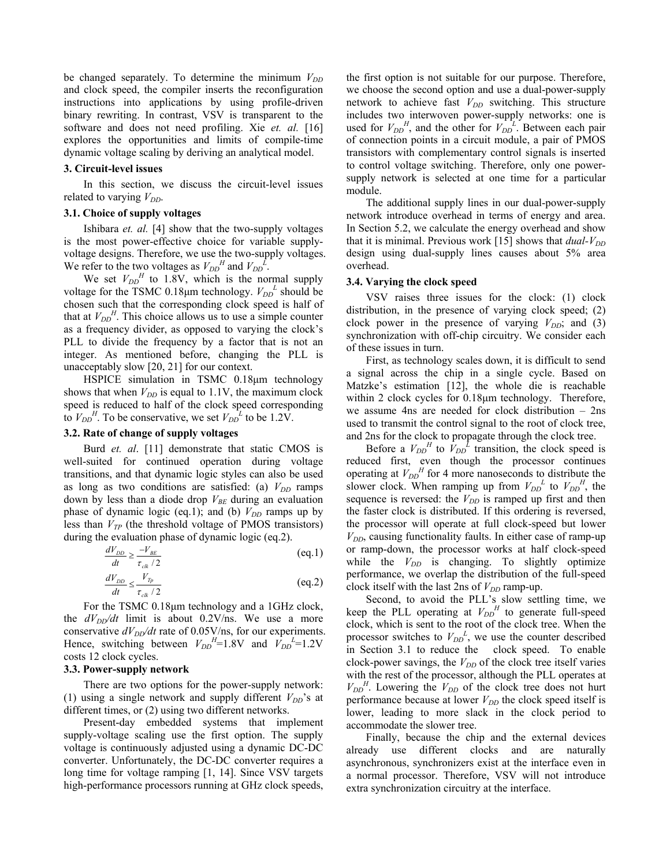be changed separately. To determine the minimum  $V_{DD}$ and clock speed, the compiler inserts the reconfiguration instructions into applications by using profile-driven binary rewriting. In contrast, VSV is transparent to the software and does not need profiling. Xie *et. al.* [16] explores the opportunities and limits of compile-time dynamic voltage scaling by deriving an analytical model.

#### **3. Circuit-level issues**

In this section, we discuss the circuit-level issues related to varying  $V_{DD}$ .

#### **3.1. Choice of supply voltages**

Ishibara *et. al.* [4] show that the two-supply voltages is the most power-effective choice for variable supplyvoltage designs. Therefore, we use the two-supply voltages. We refer to the two voltages as  $V_{DD}^H$  and  $V_{DD}^L$ .

We set  $V_{DD}$ <sup>H</sup> to 1.8V, which is the normal supply voltage for the TSMC 0.18 $\mu$ m technology.  $V_{DD}^L$  should be chosen such that the corresponding clock speed is half of that at  $V_{DD}$ <sup>*H*</sup>. This choice allows us to use a simple counter as a frequency divider, as opposed to varying the clock's PLL to divide the frequency by a factor that is not an integer. As mentioned before, changing the PLL is unacceptably slow [20, 21] for our context.

HSPICE simulation in TSMC 0.18µm technology shows that when  $V_{DD}$  is equal to 1.1V, the maximum clock speed is reduced to half of the clock speed corresponding to  $V_{DD}^H$ . To be conservative, we set  $V_{DD}^L$  to be 1.2V.

# **3.2. Rate of change of supply voltages**

Burd *et. al*. [11] demonstrate that static CMOS is well-suited for continued operation during voltage transitions, and that dynamic logic styles can also be used as long as two conditions are satisfied: (a)  $V_{DD}$  ramps down by less than a diode drop  $V_{BE}$  during an evaluation phase of dynamic logic (eq.1); and (b)  $V_{DD}$  ramps up by less than  $V_{TP}$  (the threshold voltage of PMOS transistors) during the evaluation phase of dynamic logic (eq.2).

$$
\frac{dV_{DD}}{dt} \ge \frac{-V_{BE}}{\tau_{ck}/2}
$$
 (eq.1)

$$
\frac{dV_{DD}}{dt} \le \frac{V_{Tp}}{\tau_{ck}/2}
$$
 (eq.2)

For the TSMC 0.18µm technology and a 1GHz clock, the  $dV_{DD}/dt$  limit is about 0.2V/ns. We use a more conservative  $dV_{DD}/dt$  rate of 0.05V/ns, for our experiments. Hence, switching between  $V_{DD}^H$ =1.8V and  $V_{DD}^L$ =1.2V costs 12 clock cycles.

### **3.3. Power-supply network**

There are two options for the power-supply network: (1) using a single network and supply different  $V_{DD}$ 's at different times, or (2) using two different networks.

Present-day embedded systems that implement supply-voltage scaling use the first option. The supply voltage is continuously adjusted using a dynamic DC-DC converter. Unfortunately, the DC-DC converter requires a long time for voltage ramping [1, 14]. Since VSV targets high-performance processors running at GHz clock speeds, the first option is not suitable for our purpose. Therefore, we choose the second option and use a dual-power-supply network to achieve fast  $V_{DD}$  switching. This structure includes two interwoven power-supply networks: one is used for  $V_{DD}^{H}$ , and the other for  $V_{DD}^{L}$ . Between each pair of connection points in a circuit module, a pair of PMOS transistors with complementary control signals is inserted to control voltage switching. Therefore, only one powersupply network is selected at one time for a particular module.

The additional supply lines in our dual-power-supply network introduce overhead in terms of energy and area. In Section 5.2, we calculate the energy overhead and show that it is minimal. Previous work  $[15]$  shows that *dual-V<sub>DD</sub>* design using dual-supply lines causes about 5% area overhead.

#### **3.4. Varying the clock speed**

VSV raises three issues for the clock: (1) clock distribution, in the presence of varying clock speed; (2) clock power in the presence of varying  $V_{DD}$ ; and (3) synchronization with off-chip circuitry. We consider each of these issues in turn.

First, as technology scales down, it is difficult to send a signal across the chip in a single cycle. Based on Matzke's estimation [12], the whole die is reachable within 2 clock cycles for  $0.18\mu m$  technology. Therefore, we assume 4ns are needed for clock distribution – 2ns used to transmit the control signal to the root of clock tree, and 2ns for the clock to propagate through the clock tree.

Before a  $V_{DD}^H$  to  $\overline{V}_{DD}^L$  transition, the clock speed is reduced first, even though the processor continues operating at  $V_{DD}$ <sup>*H*</sup> for 4 more nanoseconds to distribute the slower clock. When ramping up from  $V_{DD}^L$  to  $V_{DD}^H$ , the sequence is reversed: the  $V_{DD}$  is ramped up first and then the faster clock is distributed. If this ordering is reversed, the processor will operate at full clock-speed but lower  $V_{DD}$ , causing functionality faults. In either case of ramp-up or ramp-down, the processor works at half clock-speed while the  $V_{DD}$  is changing. To slightly optimize performance, we overlap the distribution of the full-speed clock itself with the last 2ns of  $V_{DD}$  ramp-up.

Second, to avoid the PLL's slow settling time, we keep the PLL operating at  $V_{DD}$ <sup>*H*</sup> to generate full-speed clock, which is sent to the root of the clock tree. When the processor switches to  $V_{DD}^L$ , we use the counter described in Section 3.1 to reduce the clock speed. To enable clock-power savings, the  $V_{DD}$  of the clock tree itself varies with the rest of the processor, although the PLL operates at  $V_{DD}$ <sup>*H*</sup>. Lowering the  $V_{DD}$  of the clock tree does not hurt performance because at lower  $V_{DD}$  the clock speed itself is lower, leading to more slack in the clock period to accommodate the slower tree.

Finally, because the chip and the external devices already use different clocks and are naturally asynchronous, synchronizers exist at the interface even in a normal processor. Therefore, VSV will not introduce extra synchronization circuitry at the interface.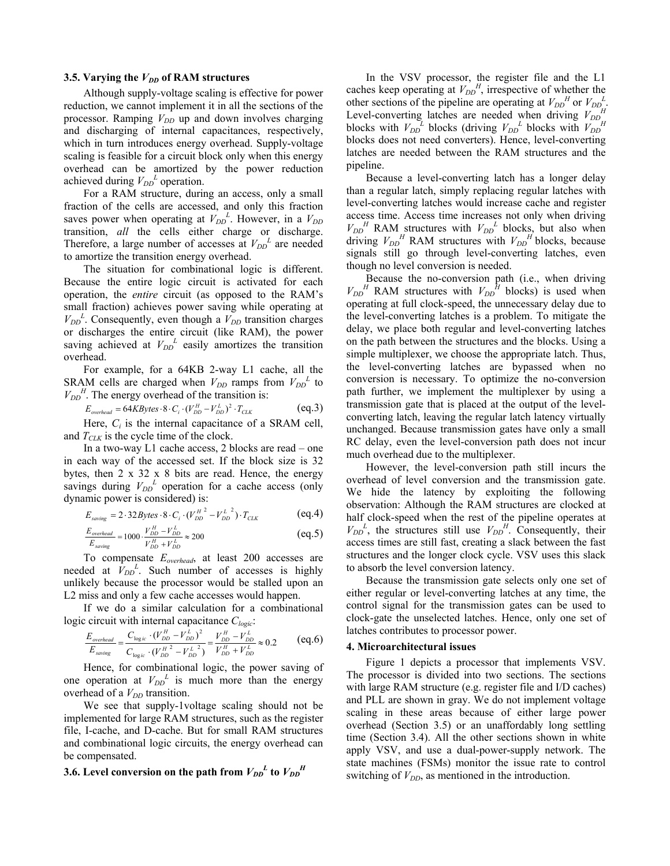#### **3.5. Varying the**  $V_{DD}$  **of RAM structures**

Although supply-voltage scaling is effective for power reduction, we cannot implement it in all the sections of the processor. Ramping  $V_{DD}$  up and down involves charging and discharging of internal capacitances, respectively, which in turn introduces energy overhead. Supply-voltage scaling is feasible for a circuit block only when this energy overhead can be amortized by the power reduction achieved during  $V_{DD}^L$  operation.

For a RAM structure, during an access, only a small fraction of the cells are accessed, and only this fraction saves power when operating at  $V_{DD}^L$ . However, in a  $V_{DD}$ transition, *all* the cells either charge or discharge. Therefore, a large number of accesses at  $V_{DD}^L$  are needed to amortize the transition energy overhead.

The situation for combinational logic is different. Because the entire logic circuit is activated for each operation, the *entire* circuit (as opposed to the RAM's small fraction) achieves power saving while operating at  $V_{DD}^L$ . Consequently, even though a  $V_{DD}$  transition charges or discharges the entire circuit (like RAM), the power saving achieved at  $V_{DD}^L$  easily amortizes the transition overhead.

For example, for a 64KB 2-way L1 cache, all the SRAM cells are charged when  $V_{DD}$  ramps from  $V_{DD}^L$  to  $V_{DD}$ <sup>*H*</sup>. The energy overhead of the transition is:

$$
E_{overhead} = 64KBytes \cdot 8 \cdot C_i \cdot (V_{DD}^H - V_{DD}^L)^2 \cdot T_{CLK}
$$
 (eq.3)

Here,  $C_i$  is the internal capacitance of a SRAM cell, and  $T_{CLK}$  is the cycle time of the clock.

In a two-way L1 cache access, 2 blocks are read – one in each way of the accessed set. If the block size is 32 bytes, then  $2 \times 32 \times 8$  bits are read. Hence, the energy savings during  $V_{DD}^L$  operation for a cache access (only dynamic power is considered) is:

$$
E_{\text{saving}} = 2.32 \text{Bytes} \cdot 8 \cdot C_i \cdot (V_{DD}^{H^2} - V_{DD}^{L^2}) \cdot T_{CLK}
$$
 (eq.4)

$$
\frac{E_{overhead}}{E_{saving}} = 1000 \cdot \frac{V_{DD}^H - V_{DD}^L}{V_{DD}^H + V_{DD}^L} \approx 200
$$
 (eq.5)

To compensate *Eoverhead*, at least 200 accesses are needed at  $\bar{V}_{DD}^L$ . Such number of accesses is highly unlikely because the processor would be stalled upon an L2 miss and only a few cache accesses would happen.

If we do a similar calculation for a combinational logic circuit with internal capacitance *Clogic*:

$$
\frac{E_{overhead}}{E_{\text{saving}}} = \frac{C_{\logic} \cdot (V_{DD}^H - V_{DD}^L)^2}{C_{\logic} \cdot (V_{DD}^H - V_{DD}^L)} = \frac{V_{DD}^H - V_{DD}^L}{V_{DD}^H + V_{DD}^L} \approx 0.2
$$
 (eq.6)

Hence, for combinational logic, the power saving of one operation at  $V_{DD}^L$  is much more than the energy overhead of a  $V_{DD}$  transition.

We see that supply-1voltage scaling should not be implemented for large RAM structures, such as the register file, I-cache, and D-cache. But for small RAM structures and combinational logic circuits, the energy overhead can be compensated.

# **3.6.** Level conversion on the path from  $V_{DD}{}^L$  to  $V_{DD}{}^H$

In the VSV processor, the register file and the L1 caches keep operating at  $V_{DD}^H$ , irrespective of whether the other sections of the pipeline are operating at  $V_{DD}^H$  or  $V_{DD}^L$ . Level-converting latches are needed when driving  $V_{DD}$ <sup>H</sup> blocks with  $V_{DD}^L$  blocks (driving  $V_{DD}^L$  blocks with  $V_{DD}^H$ blocks does not need converters). Hence, level-converting latches are needed between the RAM structures and the pipeline.

Because a level-converting latch has a longer delay than a regular latch, simply replacing regular latches with level-converting latches would increase cache and register access time. Access time increases not only when driving  $V_{DD}$ <sup>*H*</sup> RAM structures with  $V_{DD}$ <sup>*L*</sup> blocks, but also when driving  $V_{DD}$ <sup>*H*</sup> RAM structures with  $V_{DD}$ <sup>*H*</sup> blocks, because signals still go through level-converting latches, even though no level conversion is needed.

Because the no-conversion path (i.e., when driving  $V_{DD}$ <sup>*H*</sup> RAM structures with  $V_{DD}$ <sup>*H*</sup> blocks) is used when operating at full clock-speed, the unnecessary delay due to the level-converting latches is a problem. To mitigate the delay, we place both regular and level-converting latches on the path between the structures and the blocks. Using a simple multiplexer, we choose the appropriate latch. Thus, the level-converting latches are bypassed when no conversion is necessary. To optimize the no-conversion path further, we implement the multiplexer by using a transmission gate that is placed at the output of the levelconverting latch, leaving the regular latch latency virtually unchanged. Because transmission gates have only a small RC delay, even the level-conversion path does not incur much overhead due to the multiplexer.

However, the level-conversion path still incurs the overhead of level conversion and the transmission gate. We hide the latency by exploiting the following observation: Although the RAM structures are clocked at half clock-speed when the rest of the pipeline operates at  $V_{DD}^L$ , the structures still use  $V_{DD}^H$ . Consequently, their access times are still fast, creating a slack between the fast structures and the longer clock cycle. VSV uses this slack to absorb the level conversion latency.

Because the transmission gate selects only one set of either regular or level-converting latches at any time, the control signal for the transmission gates can be used to clock-gate the unselected latches. Hence, only one set of latches contributes to processor power.

#### **4. Microarchitectural issues**

Figure 1 depicts a processor that implements VSV. The processor is divided into two sections. The sections with large RAM structure (e.g. register file and I/D caches) and PLL are shown in gray. We do not implement voltage scaling in these areas because of either large power overhead (Section 3.5) or an unaffordably long settling time (Section 3.4). All the other sections shown in white apply VSV, and use a dual-power-supply network. The state machines (FSMs) monitor the issue rate to control switching of  $V_{DD}$ , as mentioned in the introduction.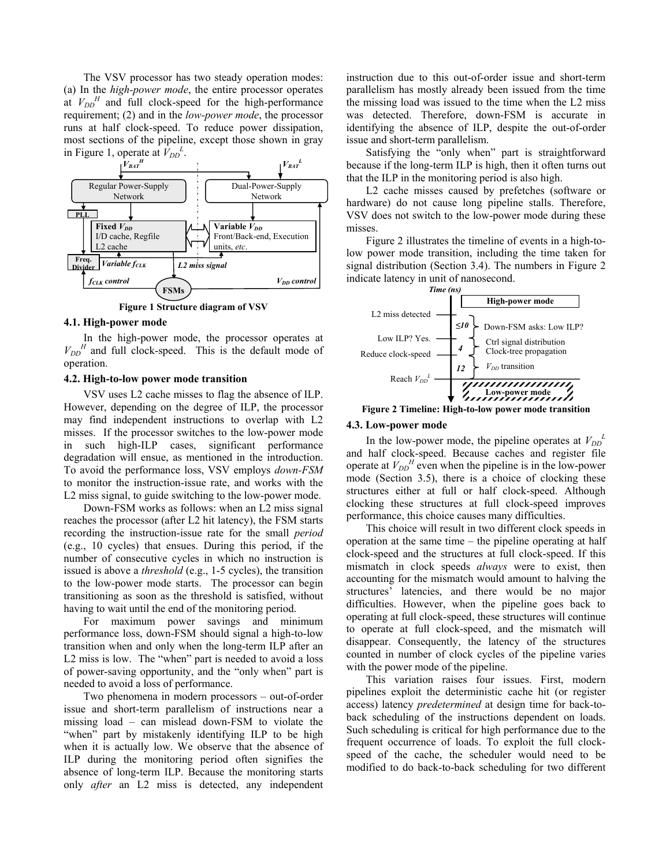The VSV processor has two steady operation modes: (a) In the *high-power mode*, the entire processor operates at  $V_{DD}$ <sup>*H*</sup> and full clock-speed for the high-performance requirement; (2) and in the *low-power mode*, the processor runs at half clock-speed. To reduce power dissipation, most sections of the pipeline, except those shown in gray in Figure 1, operate at  $\hat{V}_{DD}^L$ .



**Figure 1 Structure diagram of VSV** 

#### **4.1. High-power mode**

In the high-power mode, the processor operates at  $V_{DD}$ <sup>*H*</sup> and full clock-speed. This is the default mode of operation.

#### **4.2. High-to-low power mode transition**

VSV uses L2 cache misses to flag the absence of ILP. However, depending on the degree of ILP, the processor may find independent instructions to overlap with L2 misses. If the processor switches to the low-power mode in such high-ILP cases, significant performance degradation will ensue, as mentioned in the introduction. To avoid the performance loss, VSV employs *down-FSM* to monitor the instruction-issue rate, and works with the L2 miss signal, to guide switching to the low-power mode.

Down-FSM works as follows: when an L2 miss signal reaches the processor (after L2 hit latency), the FSM starts recording the instruction-issue rate for the small *period* (e.g., 10 cycles) that ensues. During this period, if the number of consecutive cycles in which no instruction is issued is above a *threshold* (e.g., 1-5 cycles), the transition to the low-power mode starts. The processor can begin transitioning as soon as the threshold is satisfied, without having to wait until the end of the monitoring period.

For maximum power savings and minimum performance loss, down-FSM should signal a high-to-low transition when and only when the long-term ILP after an L2 miss is low. The "when" part is needed to avoid a loss of power-saving opportunity, and the "only when" part is needed to avoid a loss of performance.

Two phenomena in modern processors – out-of-order issue and short-term parallelism of instructions near a missing load – can mislead down-FSM to violate the "when" part by mistakenly identifying ILP to be high when it is actually low. We observe that the absence of ILP during the monitoring period often signifies the absence of long-term ILP. Because the monitoring starts only *after* an L2 miss is detected, any independent instruction due to this out-of-order issue and short-term parallelism has mostly already been issued from the time the missing load was issued to the time when the L2 miss was detected. Therefore, down-FSM is accurate in identifying the absence of ILP, despite the out-of-order issue and short-term parallelism.

Satisfying the "only when" part is straightforward because if the long-term ILP is high, then it often turns out that the ILP in the monitoring period is also high.

L2 cache misses caused by prefetches (software or hardware) do not cause long pipeline stalls. Therefore, VSV does not switch to the low-power mode during these misses.

Figure 2 illustrates the timeline of events in a high-tolow power mode transition, including the time taken for signal distribution (Section 3.4). The numbers in Figure 2 indicate latency in unit of nanosecond.



## **Figure 2 Timeline: High-to-low power mode transition**

#### **4.3. Low-power mode**

In the low-power mode, the pipeline operates at  $V_{DD}^L$ and half clock-speed. Because caches and register file operate at  $V_{DD}$ <sup>*H*</sup> even when the pipeline is in the low-power mode (Section 3.5), there is a choice of clocking these structures either at full or half clock-speed. Although clocking these structures at full clock-speed improves performance, this choice causes many difficulties.

This choice will result in two different clock speeds in operation at the same time – the pipeline operating at half clock-speed and the structures at full clock-speed. If this mismatch in clock speeds *always* were to exist, then accounting for the mismatch would amount to halving the structures' latencies, and there would be no major difficulties. However, when the pipeline goes back to operating at full clock-speed, these structures will continue to operate at full clock-speed, and the mismatch will disappear. Consequently, the latency of the structures counted in number of clock cycles of the pipeline varies with the power mode of the pipeline.

This variation raises four issues. First, modern pipelines exploit the deterministic cache hit (or register access) latency *predetermined* at design time for back-toback scheduling of the instructions dependent on loads. Such scheduling is critical for high performance due to the frequent occurrence of loads. To exploit the full clockspeed of the cache, the scheduler would need to be modified to do back-to-back scheduling for two different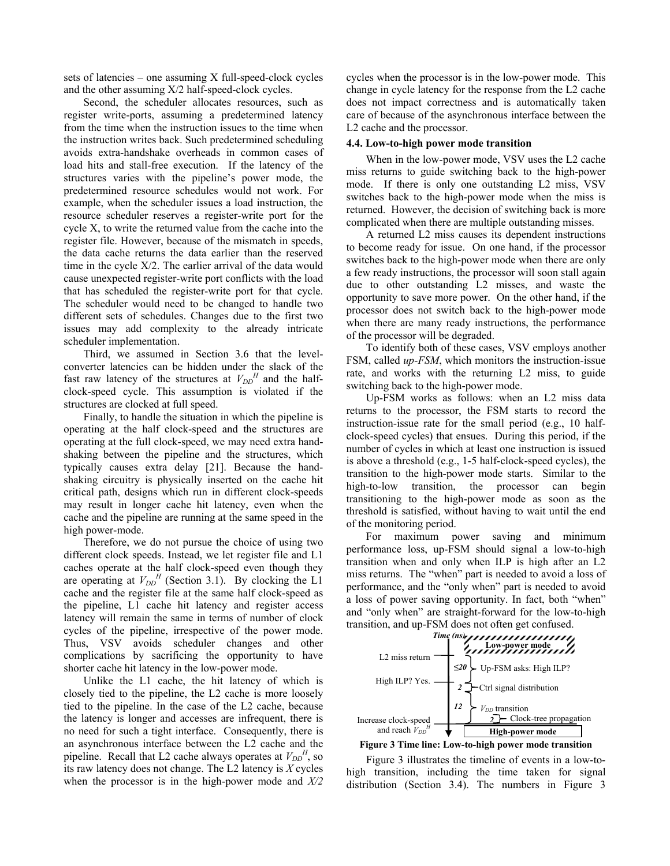sets of latencies – one assuming X full-speed-clock cycles and the other assuming X/2 half-speed-clock cycles.

Second, the scheduler allocates resources, such as register write-ports, assuming a predetermined latency from the time when the instruction issues to the time when the instruction writes back. Such predetermined scheduling avoids extra-handshake overheads in common cases of load hits and stall-free execution. If the latency of the structures varies with the pipeline's power mode, the predetermined resource schedules would not work. For example, when the scheduler issues a load instruction, the resource scheduler reserves a register-write port for the cycle X, to write the returned value from the cache into the register file. However, because of the mismatch in speeds, the data cache returns the data earlier than the reserved time in the cycle X/2. The earlier arrival of the data would cause unexpected register-write port conflicts with the load that has scheduled the register-write port for that cycle. The scheduler would need to be changed to handle two different sets of schedules. Changes due to the first two issues may add complexity to the already intricate scheduler implementation.

Third, we assumed in Section 3.6 that the levelconverter latencies can be hidden under the slack of the fast raw latency of the structures at  $V_{DD}^H$  and the halfclock-speed cycle. This assumption is violated if the structures are clocked at full speed.

Finally, to handle the situation in which the pipeline is operating at the half clock-speed and the structures are operating at the full clock-speed, we may need extra handshaking between the pipeline and the structures, which typically causes extra delay [21]. Because the handshaking circuitry is physically inserted on the cache hit critical path, designs which run in different clock-speeds may result in longer cache hit latency, even when the cache and the pipeline are running at the same speed in the high power-mode.

Therefore, we do not pursue the choice of using two different clock speeds. Instead, we let register file and L1 caches operate at the half clock-speed even though they are operating at  $V_{DD}$ <sup>H</sup> (Section 3.1). By clocking the L1 cache and the register file at the same half clock-speed as the pipeline, L1 cache hit latency and register access latency will remain the same in terms of number of clock cycles of the pipeline, irrespective of the power mode. Thus, VSV avoids scheduler changes and other complications by sacrificing the opportunity to have shorter cache hit latency in the low-power mode.

Unlike the L1 cache, the hit latency of which is closely tied to the pipeline, the L2 cache is more loosely tied to the pipeline. In the case of the L2 cache, because the latency is longer and accesses are infrequent, there is no need for such a tight interface. Consequently, there is an asynchronous interface between the L2 cache and the pipeline. Recall that L2 cache always operates at  $V_{DD}^H$ , so its raw latency does not change. The L2 latency is *X* cycles when the processor is in the high-power mode and *X/2* cycles when the processor is in the low-power mode. This change in cycle latency for the response from the L2 cache does not impact correctness and is automatically taken care of because of the asynchronous interface between the L2 cache and the processor.

#### **4.4. Low-to-high power mode transition**

When in the low-power mode, VSV uses the L2 cache miss returns to guide switching back to the high-power mode. If there is only one outstanding L2 miss, VSV switches back to the high-power mode when the miss is returned. However, the decision of switching back is more complicated when there are multiple outstanding misses.

A returned L2 miss causes its dependent instructions to become ready for issue. On one hand, if the processor switches back to the high-power mode when there are only a few ready instructions, the processor will soon stall again due to other outstanding L2 misses, and waste the opportunity to save more power. On the other hand, if the processor does not switch back to the high-power mode when there are many ready instructions, the performance of the processor will be degraded.

To identify both of these cases, VSV employs another FSM, called *up-FSM*, which monitors the instruction-issue rate, and works with the returning L2 miss, to guide switching back to the high-power mode.

Up-FSM works as follows: when an L2 miss data returns to the processor, the FSM starts to record the instruction-issue rate for the small period (e.g., 10 halfclock-speed cycles) that ensues. During this period, if the number of cycles in which at least one instruction is issued is above a threshold (e.g., 1-5 half-clock-speed cycles), the transition to the high-power mode starts. Similar to the high-to-low transition, the processor can begin transitioning to the high-power mode as soon as the threshold is satisfied, without having to wait until the end of the monitoring period.

For maximum power saving and minimum performance loss, up-FSM should signal a low-to-high transition when and only when ILP is high after an L2 miss returns. The "when" part is needed to avoid a loss of performance, and the "only when" part is needed to avoid a loss of power saving opportunity. In fact, both "when" and "only when" are straight-forward for the low-to-high transition, and up-FSM does not often get confused.



**Figure 3 Time line: Low-to-high power mode transition** 

Figure 3 illustrates the timeline of events in a low-tohigh transition, including the time taken for signal distribution (Section 3.4). The numbers in Figure 3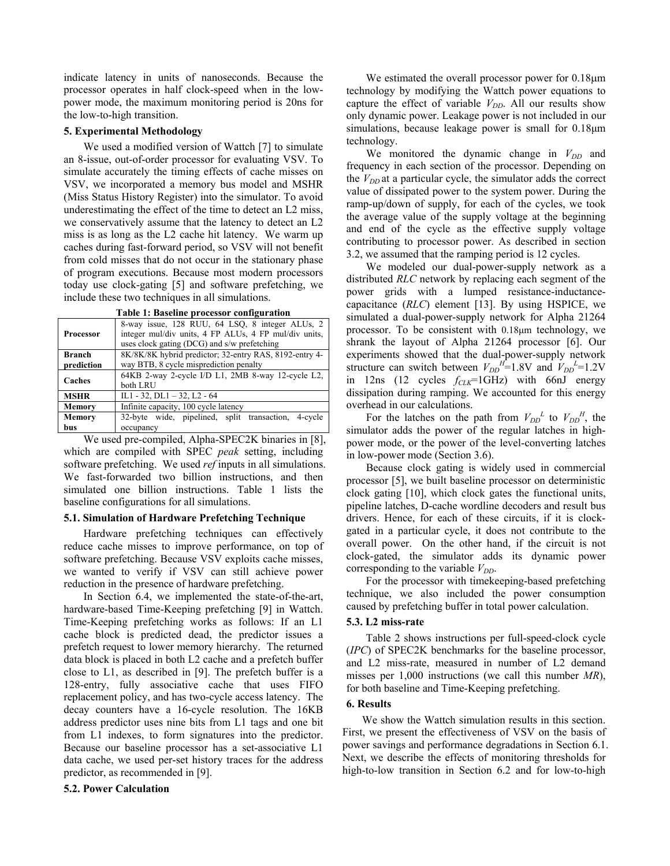indicate latency in units of nanoseconds. Because the processor operates in half clock-speed when in the lowpower mode, the maximum monitoring period is 20ns for the low-to-high transition.

### **5. Experimental Methodology**

We used a modified version of Wattch [7] to simulate an 8-issue, out-of-order processor for evaluating VSV. To simulate accurately the timing effects of cache misses on VSV, we incorporated a memory bus model and MSHR (Miss Status History Register) into the simulator. To avoid underestimating the effect of the time to detect an L2 miss, we conservatively assume that the latency to detect an L2 miss is as long as the L2 cache hit latency. We warm up caches during fast-forward period, so VSV will not benefit from cold misses that do not occur in the stationary phase of program executions. Because most modern processors today use clock-gating [5] and software prefetching, we include these two techniques in all simulations.

| Table 1: Baseline processor configuration |                                                                                                                                                         |  |  |  |  |  |  |  |
|-------------------------------------------|---------------------------------------------------------------------------------------------------------------------------------------------------------|--|--|--|--|--|--|--|
| <b>Processor</b>                          | 8-way issue, 128 RUU, 64 LSO, 8 integer ALUs, 2<br>integer mul/div units, 4 FP ALUs, 4 FP mul/div units,<br>uses clock gating (DCG) and s/w prefetching |  |  |  |  |  |  |  |
| Branch                                    | 8K/8K/8K hybrid predictor; 32-entry RAS, 8192-entry 4-                                                                                                  |  |  |  |  |  |  |  |
| prediction                                | way BTB, 8 cycle misprediction penalty                                                                                                                  |  |  |  |  |  |  |  |
| Caches                                    | 64KB 2-way 2-cycle I/D L1, 2MB 8-way 12-cycle L2,<br>both LRU                                                                                           |  |  |  |  |  |  |  |
| <b>MSHR</b>                               | IL1 - 32, DL1 - 32, L2 - 64                                                                                                                             |  |  |  |  |  |  |  |
| Memory                                    | Infinite capacity, 100 cycle latency                                                                                                                    |  |  |  |  |  |  |  |
| Memory                                    | 32-byte wide, pipelined, split transaction,<br>4-cycle                                                                                                  |  |  |  |  |  |  |  |
| bus                                       | occupancy                                                                                                                                               |  |  |  |  |  |  |  |

**Table 1: Baseline processor configuration** 

We used pre-compiled, Alpha-SPEC2K binaries in [8], which are compiled with SPEC *peak* setting, including software prefetching. We used *ref* inputs in all simulations. We fast-forwarded two billion instructions, and then simulated one billion instructions. Table 1 lists the baseline configurations for all simulations.

# **5.1. Simulation of Hardware Prefetching Technique**

Hardware prefetching techniques can effectively reduce cache misses to improve performance, on top of software prefetching. Because VSV exploits cache misses, we wanted to verify if VSV can still achieve power reduction in the presence of hardware prefetching.

In Section 6.4, we implemented the state-of-the-art, hardware-based Time-Keeping prefetching [9] in Wattch. Time-Keeping prefetching works as follows: If an L1 cache block is predicted dead, the predictor issues a prefetch request to lower memory hierarchy. The returned data block is placed in both L2 cache and a prefetch buffer close to L1, as described in [9]. The prefetch buffer is a 128-entry, fully associative cache that uses FIFO replacement policy, and has two-cycle access latency. The decay counters have a 16-cycle resolution. The 16KB address predictor uses nine bits from L1 tags and one bit from L1 indexes, to form signatures into the predictor. Because our baseline processor has a set-associative L1 data cache, we used per-set history traces for the address predictor, as recommended in [9].

### **5.2. Power Calculation**

We estimated the overall processor power for 0.18µm technology by modifying the Wattch power equations to capture the effect of variable  $V_{DD}$ . All our results show only dynamic power. Leakage power is not included in our simulations, because leakage power is small for  $0.18 \mu m$ technology.

We monitored the dynamic change in  $V_{DD}$  and frequency in each section of the processor. Depending on the  $V_{DD}$  at a particular cycle, the simulator adds the correct value of dissipated power to the system power. During the ramp-up/down of supply, for each of the cycles, we took the average value of the supply voltage at the beginning and end of the cycle as the effective supply voltage contributing to processor power. As described in section 3.2, we assumed that the ramping period is 12 cycles.

We modeled our dual-power-supply network as a distributed *RLC* network by replacing each segment of the power grids with a lumped resistance-inductancecapacitance (*RLC*) element [13]. By using HSPICE, we simulated a dual-power-supply network for Alpha 21264 processor. To be consistent with 0.18µm technology, we shrank the layout of Alpha 21264 processor [6]. Our experiments showed that the dual-power-supply network structure can switch between  $V_{DD}^H=1.8V$  and  $V_{DD}^L=1.2V$ in 12ns (12 cycles  $f_{CLK}$ =1GHz) with 66nJ energy dissipation during ramping. We accounted for this energy overhead in our calculations.

For the latches on the path from  $V_{DD}^L$  to  $V_{DD}^H$ , the simulator adds the power of the regular latches in highpower mode, or the power of the level-converting latches in low-power mode (Section 3.6).

Because clock gating is widely used in commercial processor [5], we built baseline processor on deterministic clock gating [10], which clock gates the functional units, pipeline latches, D-cache wordline decoders and result bus drivers. Hence, for each of these circuits, if it is clockgated in a particular cycle, it does not contribute to the overall power. On the other hand, if the circuit is not clock-gated, the simulator adds its dynamic power corresponding to the variable  $V_{DD}$ .

For the processor with timekeeping-based prefetching technique, we also included the power consumption caused by prefetching buffer in total power calculation.

### **5.3. L2 miss-rate**

Table 2 shows instructions per full-speed-clock cycle (*IPC*) of SPEC2K benchmarks for the baseline processor, and L2 miss-rate, measured in number of L2 demand misses per 1,000 instructions (we call this number *MR*), for both baseline and Time-Keeping prefetching.

# **6. Results**

We show the Wattch simulation results in this section. First, we present the effectiveness of VSV on the basis of power savings and performance degradations in Section 6.1. Next, we describe the effects of monitoring thresholds for high-to-low transition in Section 6.2 and for low-to-high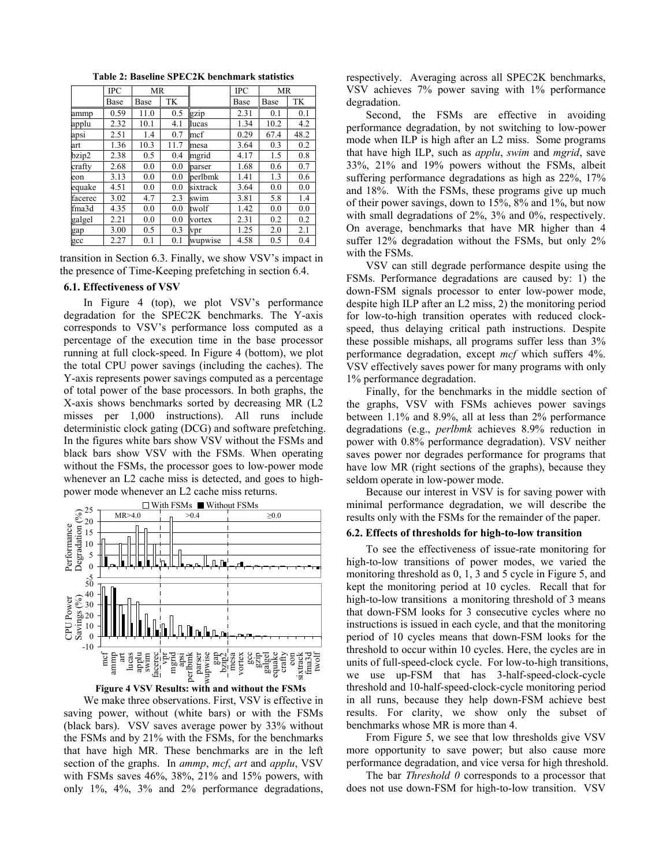|         | IPC  | <b>MR</b> |      |          | <b>IPC</b> | MR   |      |
|---------|------|-----------|------|----------|------------|------|------|
|         | Base | Base      | TK   |          | Base       | Base | TK   |
| ammp    | 0.59 | 11.0      | 0.5  | gzip     | 2.31       | 0.1  | 0.1  |
| applu   | 2.32 | 10.1      | 4.1  | lucas    | 1.34       | 10.2 | 4.2  |
| apsi    | 2.51 | 1.4       | 0.7  | mcf      | 0.29       | 67.4 | 48.2 |
| art     | 1.36 | 10.3      | 11.7 | mesa     | 3.64       | 0.3  | 0.2  |
| bzip2   | 2.38 | 0.5       | 0.4  | mgrid    | 4.17       | 1.5  | 0.8  |
| crafty  | 2.68 | 0.0       | 0.0  | parser   | 1.68       | 0.6  | 0.7  |
| eon     | 3.13 | 0.0       | 0.0  | berlbmk  | 1.41       | 1.3  | 0.6  |
| equake  | 4.51 | 0.0       | 0.0  | sixtrack | 3.64       | 0.0  | 0.0  |
| facerec | 3.02 | 4.7       | 2.3  | swim     | 3.81       | 5.8  | 1.4  |
| fma3d   | 4.35 | 0.0       | 0.0  | twolf    | 1.42       | 0.0  | 0.0  |
| galgel  | 2.21 | 0.0       | 0.0  | vortex   | 2.31       | 0.2  | 0.2  |
| gap     | 3.00 | 0.5       | 0.3  | vpr      | 1.25       | 2.0  | 2.1  |
| gcc     | 2.27 | 0.1       | 0.1  | wupwise  | 4.58       | 0.5  | 0.4  |

**Table 2: Baseline SPEC2K benchmark statistics** 

transition in Section 6.3. Finally, we show VSV's impact in the presence of Time-Keeping prefetching in section 6.4.

#### **6.1. Effectiveness of VSV**

In Figure 4 (top), we plot VSV's performance degradation for the SPEC2K benchmarks. The Y-axis corresponds to VSV's performance loss computed as a percentage of the execution time in the base processor running at full clock-speed. In Figure 4 (bottom), we plot the total CPU power savings (including the caches). The Y-axis represents power savings computed as a percentage of total power of the base processors. In both graphs, the X-axis shows benchmarks sorted by decreasing MR (L2 misses per 1,000 instructions). All runs include deterministic clock gating (DCG) and software prefetching. In the figures white bars show VSV without the FSMs and black bars show VSV with the FSMs. When operating without the FSMs, the processor goes to low-power mode whenever an L<sub>2</sub> cache miss is detected, and goes to highpower mode whenever an L2 cache miss returns.





We make three observations. First, VSV is effective in saving power, without (white bars) or with the FSMs (black bars). VSV saves average power by 33% without the FSMs and by 21% with the FSMs, for the benchmarks that have high MR. These benchmarks are in the left section of the graphs. In *ammp*, *mcf*, *art* and *applu*, VSV with FSMs saves 46%, 38%, 21% and 15% powers, with only 1%, 4%, 3% and 2% performance degradations, respectively. Averaging across all SPEC2K benchmarks, VSV achieves 7% power saving with 1% performance degradation.

Second, the FSMs are effective in avoiding performance degradation, by not switching to low-power mode when ILP is high after an L2 miss. Some programs that have high ILP, such as *applu*, *swim* and *mgrid*, save 33%, 21% and 19% powers without the FSMs, albeit suffering performance degradations as high as 22%, 17% and 18%. With the FSMs, these programs give up much of their power savings, down to 15%, 8% and 1%, but now with small degradations of 2%, 3% and 0%, respectively. On average, benchmarks that have MR higher than 4 suffer 12% degradation without the FSMs, but only 2% with the FSMs.

VSV can still degrade performance despite using the FSMs. Performance degradations are caused by: 1) the down-FSM signals processor to enter low-power mode, despite high ILP after an L2 miss, 2) the monitoring period for low-to-high transition operates with reduced clockspeed, thus delaying critical path instructions. Despite these possible mishaps, all programs suffer less than 3% performance degradation, except *mcf* which suffers 4%. VSV effectively saves power for many programs with only 1% performance degradation.

Finally, for the benchmarks in the middle section of the graphs, VSV with FSMs achieves power savings between 1.1% and 8.9%, all at less than 2% performance degradations (e.g., *perlbmk* achieves 8.9% reduction in power with 0.8% performance degradation). VSV neither saves power nor degrades performance for programs that have low MR (right sections of the graphs), because they seldom operate in low-power mode.

Because our interest in VSV is for saving power with minimal performance degradation, we will describe the results only with the FSMs for the remainder of the paper.

#### **6.2. Effects of thresholds for high-to-low transition**

To see the effectiveness of issue-rate monitoring for high-to-low transitions of power modes, we varied the monitoring threshold as 0, 1, 3 and 5 cycle in Figure 5, and kept the monitoring period at 10 cycles. Recall that for high-to-low transitions a monitoring threshold of 3 means that down-FSM looks for 3 consecutive cycles where no instructions is issued in each cycle, and that the monitoring period of 10 cycles means that down-FSM looks for the threshold to occur within 10 cycles. Here, the cycles are in units of full-speed-clock cycle. For low-to-high transitions, we use up-FSM that has 3-half-speed-clock-cycle threshold and 10-half-speed-clock-cycle monitoring period in all runs, because they help down-FSM achieve best results. For clarity, we show only the subset of benchmarks whose MR is more than 4.

From Figure 5, we see that low thresholds give VSV more opportunity to save power; but also cause more performance degradation, and vice versa for high threshold.

The bar *Threshold 0* corresponds to a processor that does not use down-FSM for high-to-low transition. VSV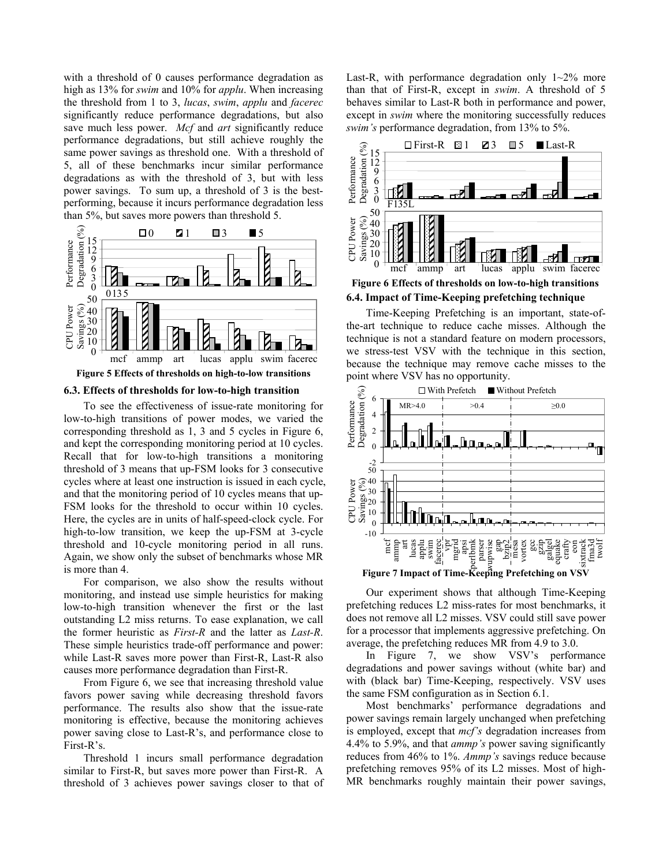with a threshold of 0 causes performance degradation as high as 13% for *swim* and 10% for *applu*. When increasing the threshold from 1 to 3, *lucas*, *swim*, *applu* and *facerec* significantly reduce performance degradations, but also save much less power. *Mcf* and *art* significantly reduce performance degradations, but still achieve roughly the same power savings as threshold one. With a threshold of 5, all of these benchmarks incur similar performance degradations as with the threshold of 3, but with less power savings. To sum up, a threshold of 3 is the bestperforming, because it incurs performance degradation less than 5%, but saves more powers than threshold 5.



**6.3. Effects of thresholds for low-to-high transition** 

To see the effectiveness of issue-rate monitoring for low-to-high transitions of power modes, we varied the corresponding threshold as 1, 3 and 5 cycles in Figure 6, and kept the corresponding monitoring period at 10 cycles. Recall that for low-to-high transitions a monitoring threshold of 3 means that up-FSM looks for 3 consecutive cycles where at least one instruction is issued in each cycle, and that the monitoring period of 10 cycles means that up-FSM looks for the threshold to occur within 10 cycles. Here, the cycles are in units of half-speed-clock cycle. For high-to-low transition, we keep the up-FSM at 3-cycle threshold and 10-cycle monitoring period in all runs. Again, we show only the subset of benchmarks whose MR is more than 4.

For comparison, we also show the results without monitoring, and instead use simple heuristics for making low-to-high transition whenever the first or the last outstanding L2 miss returns. To ease explanation, we call the former heuristic as *First-R* and the latter as *Last-R*. These simple heuristics trade-off performance and power: while Last-R saves more power than First-R, Last-R also causes more performance degradation than First-R.

From Figure 6, we see that increasing threshold value favors power saving while decreasing threshold favors performance. The results also show that the issue-rate monitoring is effective, because the monitoring achieves power saving close to Last-R's, and performance close to First-R's.

Threshold 1 incurs small performance degradation similar to First-R, but saves more power than First-R. A threshold of 3 achieves power savings closer to that of Last-R, with performance degradation only  $1 \sim 2\%$  more than that of First-R, except in *swim*. A threshold of 5 behaves similar to Last-R both in performance and power, except in *swim* where the monitoring successfully reduces *swim's* performance degradation, from 13% to 5%.



**6.4. Impact of Time-Keeping prefetching technique Figure 6 Effects of thresholds on low-to-high transitions**

Time-Keeping Prefetching is an important, state-ofthe-art technique to reduce cache misses. Although the technique is not a standard feature on modern processors, we stress-test VSV with the technique in this section, because the technique may remove cache misses to the point where VSV has no opportunity.



Our experiment shows that although Time-Keeping prefetching reduces L2 miss-rates for most benchmarks, it does not remove all L2 misses. VSV could still save power for a processor that implements aggressive prefetching. On average, the prefetching reduces MR from 4.9 to 3.0.

In Figure 7, we show VSV's performance degradations and power savings without (white bar) and with (black bar) Time-Keeping, respectively. VSV uses the same FSM configuration as in Section 6.1.

Most benchmarks' performance degradations and power savings remain largely unchanged when prefetching is employed, except that *mcf's* degradation increases from 4.4% to 5.9%, and that *ammp's* power saving significantly reduces from 46% to 1%. *Ammp's* savings reduce because prefetching removes 95% of its L2 misses. Most of high-MR benchmarks roughly maintain their power savings,